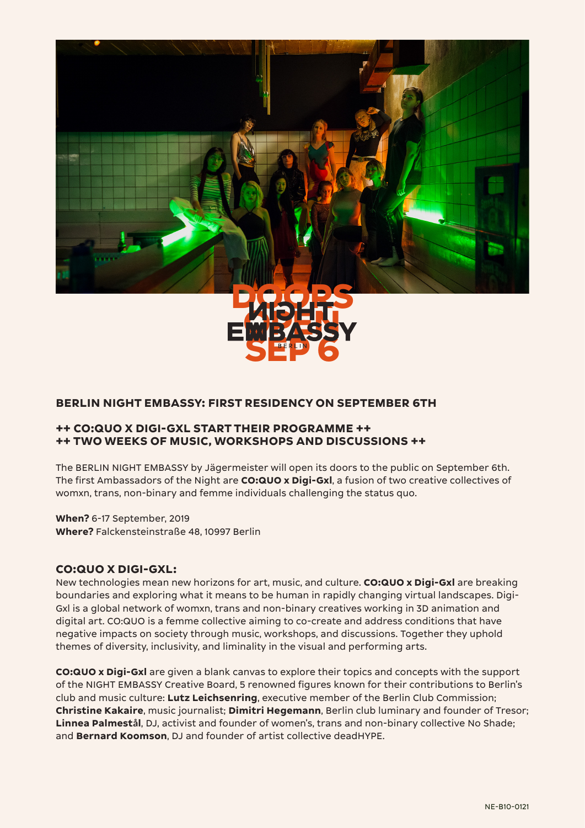

# **BERLIN NIGHT EMBASSY: FIRST RESIDENCY ON SEPTEMBER 6TH**

# **++ CO:QUO X DIGI-GXL START THEIR PROGRAMME ++ ++ TWO WEEKS OF MUSIC, WORKSHOPS AND DISCUSSIONS ++**

The BERLIN NIGHT EMBASSY by Jägermeister will open its doors to the public on September 6th. The first Ambassadors of the Night are **CO:QUO x Digi-Gxl**, a fusion of two creative collectives of womxn, trans, non-binary and femme individuals challenging the status quo.

**When?** 6-17 September, 2019 **Where?** Falckensteinstraße 48, 10997 Berlin

#### **CO:QUO X DIGI-GXL:**

New technologies mean new horizons for art, music, and culture. **CO:QUO x Digi-Gxl** are breaking boundaries and exploring what it means to be human in rapidly changing virtual landscapes. Digi-Gxl is a global network of womxn, trans and non-binary creatives working in 3D animation and digital art. CO:QUO is a femme collective aiming to co-create and address conditions that have negative impacts on society through music, workshops, and discussions. Together they uphold themes of diversity, inclusivity, and liminality in the visual and performing arts.

**CO:QUO x Digi-Gxl** are given a blank canvas to explore their topics and concepts with the support of the NIGHT EMBASSY Creative Board, 5 renowned figures known for their contributions to Berlin's club and music culture: **Lutz Leichsenring**, executive member of the Berlin Club Commission; **Christine Kakaire**, music journalist; **Dimitri Hegemann**, Berlin club luminary and founder of Tresor; **Linnea Palmestål**, DJ, activist and founder of women's, trans and non-binary collective No Shade; and **Bernard Koomson**, DJ and founder of artist collective deadHYPE.